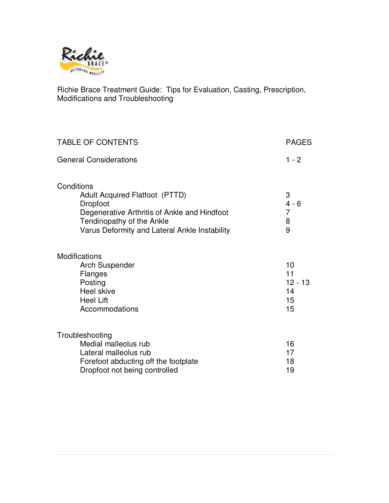

Richie Brace Treatment Guide: Tips for Evaluation, Casting, Prescription, Modifications and Troubleshooting

| <b>TABLE OF CONTENTS</b>                                                                                                                                                                             | <b>PAGES</b>                             |
|------------------------------------------------------------------------------------------------------------------------------------------------------------------------------------------------------|------------------------------------------|
| <b>General Considerations</b>                                                                                                                                                                        | $1 - 2$                                  |
| Conditions<br><b>Adult Acquired Flatfoot (PTTD)</b><br><b>Dropfoot</b><br>Degenerative Arthritis of Ankle and Hindfoot<br>Tendinopathy of the Ankle<br>Varus Deformity and Lateral Ankle Instability | 3<br>$4 - 6$<br>$\overline{7}$<br>8<br>9 |
| Modifications<br><b>Arch Suspender</b><br>Flanges<br>Posting<br>Heel skive<br><b>Heel Lift</b><br>Accommodations                                                                                     | 10<br>11<br>$12 - 13$<br>14<br>15<br>15  |
| Troubleshooting<br>Medial malleolus rub<br>Lateral malleolus rub<br>Forefoot abducting off the footplate<br>Dropfoot not being controlled                                                            | 16<br>17<br>18<br>19                     |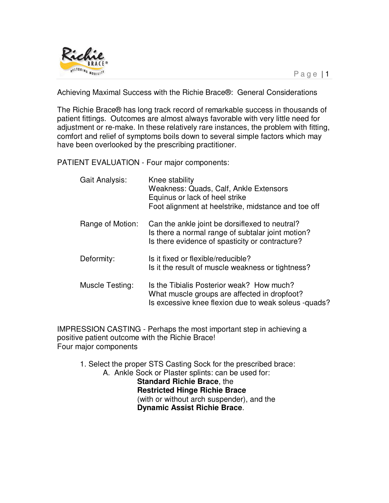

Achieving Maximal Success with the Richie Brace®: General Considerations

The Richie Brace® has long track record of remarkable success in thousands of patient fittings. Outcomes are almost always favorable with very little need for adjustment or re-make. In these relatively rare instances, the problem with fitting, comfort and relief of symptoms boils down to several simple factors which may have been overlooked by the prescribing practitioner.

PATIENT EVALUATION - Four major components:

| Gait Analysis:   | Knee stability<br>Weakness: Quads, Calf, Ankle Extensors<br>Equinus or lack of heel strike<br>Foot alignment at heelstrike, midstance and toe off      |
|------------------|--------------------------------------------------------------------------------------------------------------------------------------------------------|
| Range of Motion: | Can the ankle joint be dorsiflexed to neutral?<br>Is there a normal range of subtalar joint motion?<br>Is there evidence of spasticity or contracture? |
| Deformity:       | Is it fixed or flexible/reducible?<br>Is it the result of muscle weakness or tightness?                                                                |
| Muscle Testing:  | Is the Tibialis Posterior weak? How much?<br>What muscle groups are affected in dropfoot?<br>Is excessive knee flexion due to weak soleus -quads?      |

IMPRESSION CASTING - Perhaps the most important step in achieving a positive patient outcome with the Richie Brace! Four major components

 1. Select the proper STS Casting Sock for the prescribed brace: A. Ankle Sock or Plaster splints: can be used for: **Standard Richie Brace**, the **Restricted Hinge Richie Brace**  (with or without arch suspender), and the **Dynamic Assist Richie Brace**.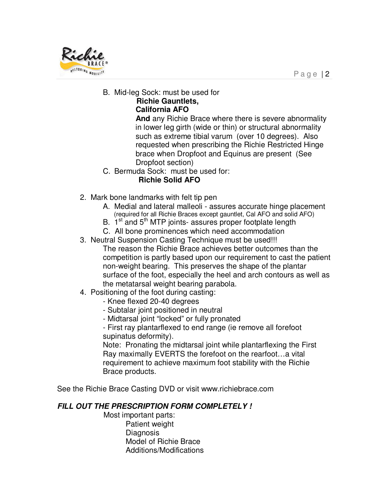

B. Mid-leg Sock: must be used for

# **Richie Gauntlets,**

# **California AFO**

 **And** any Richie Brace where there is severe abnormality in lower leg girth (wide or thin) or structural abnormality such as extreme tibial varum (over 10 degrees). Also requested when prescribing the Richie Restricted Hinge brace when Dropfoot and Equinus are present (See Dropfoot section)

C. Bermuda Sock: must be used for:

# **Richie Solid AFO**

- 2. Mark bone landmarks with felt tip pen
	- A. Medial and lateral malleoli assures accurate hinge placement (required for all Richie Braces except gauntlet, Cal AFO and solid AFO)
	- B.  $1<sup>st</sup>$  and  $5<sup>th</sup>$  MTP joints- assures proper footplate length
	- C. All bone prominences which need accommodation
- 3. Neutral Suspension Casting Technique must be used!!!
	- The reason the Richie Brace achieves better outcomes than the competition is partly based upon our requirement to cast the patient non-weight bearing. This preserves the shape of the plantar surface of the foot, especially the heel and arch contours as well as the metatarsal weight bearing parabola.
- 4. Positioning of the foot during casting:
	- Knee flexed 20-40 degrees
	- Subtalar joint positioned in neutral
	- Midtarsal joint "locked" or fully pronated
	- First ray plantarflexed to end range (ie remove all forefoot supinatus deformity).

Note: Pronating the midtarsal joint while plantarflexing the First Ray maximally EVERTS the forefoot on the rearfoot…a vital requirement to achieve maximum foot stability with the Richie Brace products.

See the Richie Brace Casting DVD or visit www.richiebrace.com

# **FILL OUT THE PRESCRIPTION FORM COMPLETELY !**

 Most important parts: Patient weight **Diagnosis**  Model of Richie Brace Additions/Modifications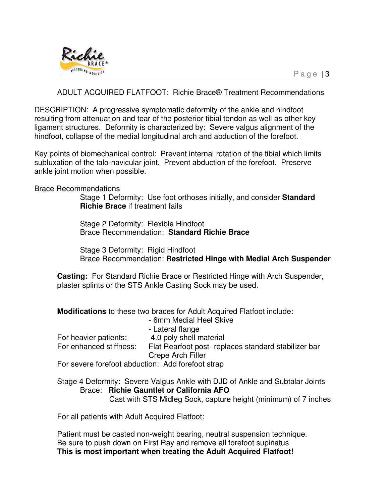

## ADULT ACQUIRED FLATFOOT: Richie Brace® Treatment Recommendations

DESCRIPTION: A progressive symptomatic deformity of the ankle and hindfoot resulting from attenuation and tear of the posterior tibial tendon as well as other key ligament structures. Deformity is characterized by: Severe valgus alignment of the hindfoot, collapse of the medial longitudinal arch and abduction of the forefoot.

Key points of biomechanical control: Prevent internal rotation of the tibial which limits subluxation of the talo-navicular joint. Prevent abduction of the forefoot. Preserve ankle joint motion when possible.

Brace Recommendations

Stage 1 Deformity: Use foot orthoses initially, and consider **Standard Richie Brace** if treatment fails

Stage 2 Deformity: Flexible Hindfoot Brace Recommendation: **Standard Richie Brace**

Stage 3 Deformity: Rigid Hindfoot Brace Recommendation: **Restricted Hinge with Medial Arch Suspender** 

**Casting:** For Standard Richie Brace or Restricted Hinge with Arch Suspender, plaster splints or the STS Ankle Casting Sock may be used.

**Modifications** to these two braces for Adult Acquired Flatfoot include:

|                                                   | - 6mm Medial Heel Skive                             |
|---------------------------------------------------|-----------------------------------------------------|
|                                                   | - Lateral flange                                    |
| For heavier patients:                             | 4.0 poly shell material                             |
| For enhanced stiffness:                           | Flat Rearfoot post-replaces standard stabilizer bar |
|                                                   | Crepe Arch Filler                                   |
| For severe forefoot abduction: Add forefoot strap |                                                     |

Stage 4 Deformity: Severe Valgus Ankle with DJD of Ankle and Subtalar Joints Brace: **Richie Gauntlet or California AFO**

Cast with STS Midleg Sock, capture height (minimum) of 7 inches

For all patients with Adult Acquired Flatfoot:

Patient must be casted non-weight bearing, neutral suspension technique. Be sure to push down on First Ray and remove all forefoot supinatus **This is most important when treating the Adult Acquired Flatfoot!**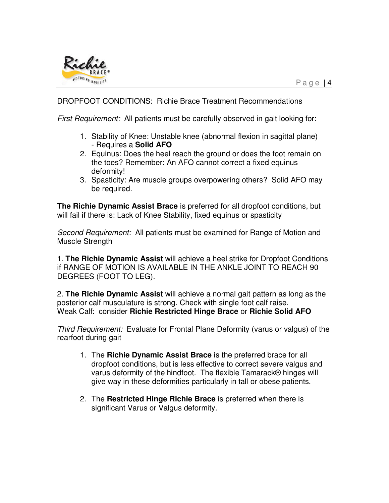

## DROPFOOT CONDITIONS: Richie Brace Treatment Recommendations

First Requirement: All patients must be carefully observed in gait looking for:

- 1. Stability of Knee: Unstable knee (abnormal flexion in sagittal plane) - Requires a **Solid AFO**
- 2. Equinus: Does the heel reach the ground or does the foot remain on the toes? Remember: An AFO cannot correct a fixed equinus deformity!
- 3. Spasticity: Are muscle groups overpowering others? Solid AFO may be required.

**The Richie Dynamic Assist Brace** is preferred for all dropfoot conditions, but will fail if there is: Lack of Knee Stability, fixed equinus or spasticity

Second Requirement: All patients must be examined for Range of Motion and Muscle Strength

1. **The Richie Dynamic Assist** will achieve a heel strike for Dropfoot Conditions if RANGE OF MOTION IS AVAILABLE IN THE ANKLE JOINT TO REACH 90 DEGREES (FOOT TO LEG).

2. **The Richie Dynamic Assist** will achieve a normal gait pattern as long as the posterior calf musculature is strong. Check with single foot calf raise. Weak Calf: consider **Richie Restricted Hinge Brace** or **Richie Solid AFO**

Third Requirement: Evaluate for Frontal Plane Deformity (varus or valgus) of the rearfoot during gait

- 1. The **Richie Dynamic Assist Brace** is the preferred brace for all dropfoot conditions, but is less effective to correct severe valgus and varus deformity of the hindfoot. The flexible Tamarack® hinges will give way in these deformities particularly in tall or obese patients.
- 2. The **Restricted Hinge Richie Brace** is preferred when there is significant Varus or Valgus deformity.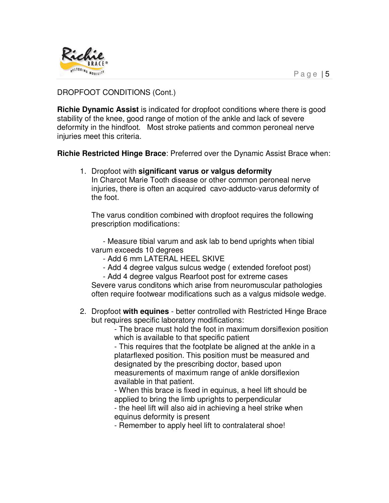

# DROPFOOT CONDITIONS (Cont.)

**Richie Dynamic Assist** is indicated for dropfoot conditions where there is good stability of the knee, good range of motion of the ankle and lack of severe deformity in the hindfoot. Most stroke patients and common peroneal nerve injuries meet this criteria.

**Richie Restricted Hinge Brace**: Preferred over the Dynamic Assist Brace when:

1. Dropfoot with **significant varus or valgus deformity**

In Charcot Marie Tooth disease or other common peroneal nerve injuries, there is often an acquired cavo-adducto-varus deformity of the foot.

The varus condition combined with dropfoot requires the following prescription modifications:

 - Measure tibial varum and ask lab to bend uprights when tibial varum exceeds 10 degrees

- Add 6 mm LATERAL HEEL SKIVE
- Add 4 degree valgus sulcus wedge ( extended forefoot post)

- Add 4 degree valgus Rearfoot post for extreme cases

Severe varus conditons which arise from neuromuscular pathologies often require footwear modifications such as a valgus midsole wedge.

2. Dropfoot **with equines** - better controlled with Restricted Hinge Brace but requires specific laboratory modifications:

- The brace must hold the foot in maximum dorsiflexion position which is available to that specific patient

- This requires that the footplate be aligned at the ankle in a platarflexed position. This position must be measured and designated by the prescribing doctor, based upon measurements of maximum range of ankle dorsiflexion available in that patient.

- When this brace is fixed in equinus, a heel lift should be applied to bring the limb uprights to perpendicular

- the heel lift will also aid in achieving a heel strike when equinus deformity is present

- Remember to apply heel lift to contralateral shoe!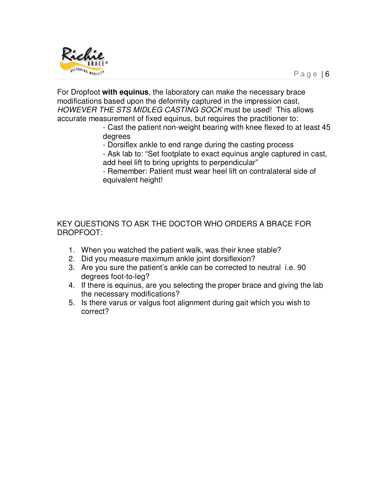

For Dropfoot **with equinus**, the laboratory can make the necessary brace modifications based upon the deformity captured in the impression cast, HOWEVER THE STS MIDLEG CASTING SOCK must be used! This allows accurate measurement of fixed equinus, but requires the practitioner to:

- Cast the patient non-weight bearing with knee flexed to at least 45 degrees

- Dorsiflex ankle to end range during the casting process

- Ask lab to: "Set footplate to exact equinus angle captured in cast, add heel lift to bring uprights to perpendicular"

- Remember: Patient must wear heel lift on contralateral side of equivalent height!

KEY QUESTIONS TO ASK THE DOCTOR WHO ORDERS A BRACE FOR DROPFOOT:

- 1. When you watched the patient walk, was their knee stable?
- 2. Did you measure maximum ankle joint dorsiflexion?
- 3. Are you sure the patient's ankle can be corrected to neutral i.e. 90 degrees foot-to-leg?
- 4. If there is equinus, are you selecting the proper brace and giving the lab the necessary modifications?
- 5. Is there varus or valgus foot alignment during gait which you wish to correct?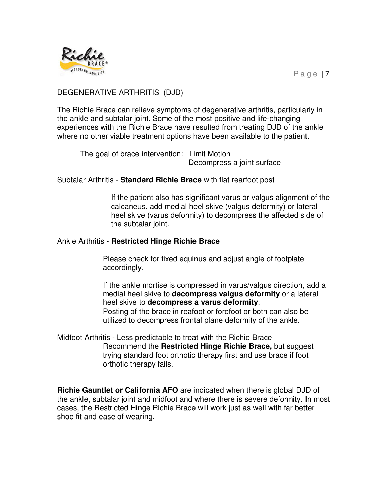

## DEGENERATIVE ARTHRITIS (DJD)

The Richie Brace can relieve symptoms of degenerative arthritis, particularly in the ankle and subtalar joint. Some of the most positive and life-changing experiences with the Richie Brace have resulted from treating DJD of the ankle where no other viable treatment options have been available to the patient.

 The goal of brace intervention: Limit Motion Decompress a joint surface

Subtalar Arthritis - **Standard Richie Brace** with flat rearfoot post

If the patient also has significant varus or valgus alignment of the calcaneus, add medial heel skive (valgus deformity) or lateral heel skive (varus deformity) to decompress the affected side of the subtalar joint.

#### Ankle Arthritis - **Restricted Hinge Richie Brace**

Please check for fixed equinus and adjust angle of footplate accordingly.

If the ankle mortise is compressed in varus/valgus direction, add a medial heel skive to **decompress valgus deformity** or a lateral heel skive to **decompress a varus deformity**. Posting of the brace in reafoot or forefoot or both can also be utilized to decompress frontal plane deformity of the ankle.

Midfoot Arthritis - Less predictable to treat with the Richie Brace Recommend the **Restricted Hinge Richie Brace,** but suggest trying standard foot orthotic therapy first and use brace if foot orthotic therapy fails.

**Richie Gauntlet or California AFO** are indicated when there is global DJD of the ankle, subtalar joint and midfoot and where there is severe deformity. In most cases, the Restricted Hinge Richie Brace will work just as well with far better shoe fit and ease of wearing.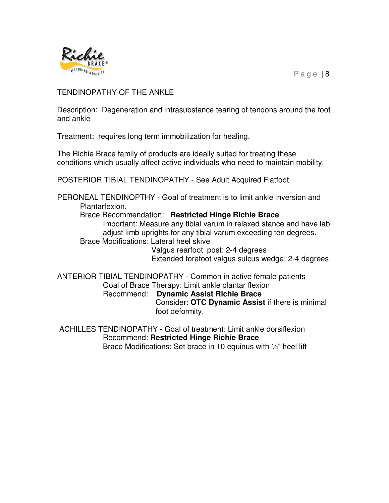

## TENDINOPATHY OF THE ANKLE

Description: Degeneration and intrasubstance tearing of tendons around the foot and ankle

Treatment: requires long term immobilization for healing.

The Richie Brace family of products are ideally suited for treating these conditions which usually affect active individuals who need to maintain mobility.

POSTERIOR TIBIAL TENDINOPATHY - See Adult Acquired Flatfoot

PERONEAL TENDINOPTHY - Goal of treatment is to limit ankle inversion and Plantarfexion.

Brace Recommendation: **Restricted Hinge Richie Brace**

Important: Measure any tibial varum in relaxed stance and have lab adjust limb uprights for any tibial varum exceeding ten degrees. Brace Modifications: Lateral heel skive

> Valgus rearfoot post: 2-4 degrees Extended forefoot valgus sulcus wedge: 2-4 degrees

ANTERIOR TIBIAL TENDINOPATHY - Common in active female patients Goal of Brace Therapy: Limit ankle plantar flexion Recommend: **Dynamic Assist Richie Brace** Consider: **OTC Dynamic Assist** if there is minimal foot deformity.

 ACHILLES TENDINOPATHY - Goal of treatment: Limit ankle dorsiflexion Recommend: **Restricted Hinge Richie Brace** Brace Modifications: Set brace in 10 equinus with 1/4" heel lift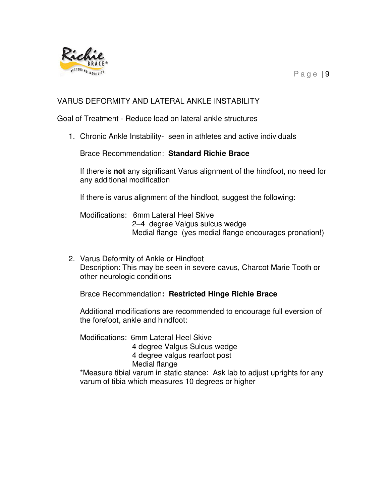

## VARUS DEFORMITY AND LATERAL ANKLE INSTABILITY

Goal of Treatment - Reduce load on lateral ankle structures

1. Chronic Ankle Instability- seen in athletes and active individuals

Brace Recommendation: **Standard Richie Brace**

If there is **not** any significant Varus alignment of the hindfoot, no need for any additional modification

If there is varus alignment of the hindfoot, suggest the following:

Modifications: 6mm Lateral Heel Skive 2–4 degree Valgus sulcus wedge Medial flange (yes medial flange encourages pronation!)

2. Varus Deformity of Ankle or Hindfoot Description: This may be seen in severe cavus, Charcot Marie Tooth or other neurologic conditions

Brace Recommendation**: Restricted Hinge Richie Brace**

Additional modifications are recommended to encourage full eversion of the forefoot, ankle and hindfoot:

Modifications: 6mm Lateral Heel Skive 4 degree Valgus Sulcus wedge 4 degree valgus rearfoot post Medial flange

\*Measure tibial varum in static stance: Ask lab to adjust uprights for any varum of tibia which measures 10 degrees or higher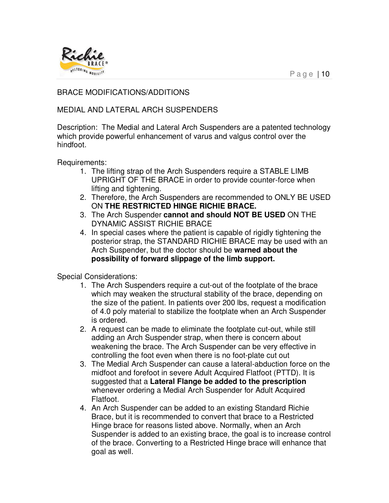

## BRACE MODIFICATIONS/ADDITIONS

## MEDIAL AND LATERAL ARCH SUSPENDERS

Description: The Medial and Lateral Arch Suspenders are a patented technology which provide powerful enhancement of varus and valgus control over the hindfoot.

Requirements:

- 1. The lifting strap of the Arch Suspenders require a STABLE LIMB UPRIGHT OF THE BRACE in order to provide counter-force when lifting and tightening.
- 2. Therefore, the Arch Suspenders are recommended to ONLY BE USED ON **THE RESTRICTED HINGE RICHIE BRACE.**
- 3. The Arch Suspender **cannot and should NOT BE USED** ON THE DYNAMIC ASSIST RICHIE BRACE
- 4. In special cases where the patient is capable of rigidly tightening the posterior strap, the STANDARD RICHIE BRACE may be used with an Arch Suspender, but the doctor should be **warned about the possibility of forward slippage of the limb support.**

Special Considerations:

- 1. The Arch Suspenders require a cut-out of the footplate of the brace which may weaken the structural stability of the brace, depending on the size of the patient. In patients over 200 lbs, request a modification of 4.0 poly material to stabilize the footplate when an Arch Suspender is ordered.
- 2. A request can be made to eliminate the footplate cut-out, while still adding an Arch Suspender strap, when there is concern about weakening the brace. The Arch Suspender can be very effective in controlling the foot even when there is no foot-plate cut out
- 3. The Medial Arch Suspender can cause a lateral-abduction force on the midfoot and forefoot in severe Adult Acquired Flatfoot (PTTD). It is suggested that a **Lateral Flange be added to the prescription** whenever ordering a Medial Arch Suspender for Adult Acquired Flatfoot.
- 4. An Arch Suspender can be added to an existing Standard Richie Brace, but it is recommended to convert that brace to a Restricted Hinge brace for reasons listed above. Normally, when an Arch Suspender is added to an existing brace, the goal is to increase control of the brace. Converting to a Restricted Hinge brace will enhance that goal as well.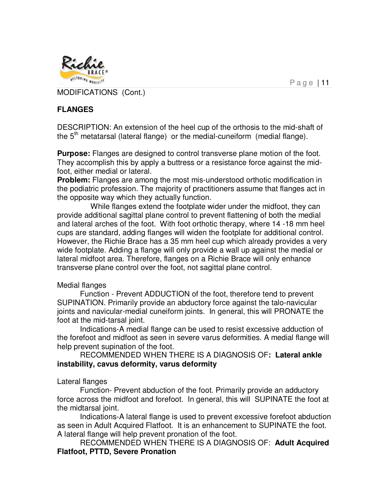

MODIFICATIONS (Cont.)

# **FLANGES**

DESCRIPTION: An extension of the heel cup of the orthosis to the mid-shaft of the  $5<sup>th</sup>$  metatarsal (lateral flange) or the medial-cuneiform (medial flange).

**Purpose:** Flanges are designed to control transverse plane motion of the foot. They accomplish this by apply a buttress or a resistance force against the midfoot, either medial or lateral.

**Problem:** Flanges are among the most mis-understood orthotic modification in the podiatric profession. The majority of practitioners assume that flanges act in the opposite way which they actually function.

 While flanges extend the footplate wider under the midfoot, they can provide additional sagittal plane control to prevent flattening of both the medial and lateral arches of the foot. With foot orthotic therapy, where 14 -18 mm heel cups are standard, adding flanges will widen the footplate for additional control. However, the Richie Brace has a 35 mm heel cup which already provides a very wide footplate. Adding a flange will only provide a wall up against the medial or lateral midfoot area. Therefore, flanges on a Richie Brace will only enhance transverse plane control over the foot, not sagittal plane control.

## Medial flanges

 Function - Prevent ADDUCTION of the foot, therefore tend to prevent SUPINATION. Primarily provide an abductory force against the talo-navicular joints and navicular-medial cuneiform joints. In general, this will PRONATE the foot at the mid-tarsal joint.

 Indications-A medial flange can be used to resist excessive adduction of the forefoot and midfoot as seen in severe varus deformities. A medial flange will help prevent supination of the foot.

RECOMMENDED WHEN THERE IS A DIAGNOSIS OF**: Lateral ankle instability, cavus deformity, varus deformity** 

## Lateral flanges

 Function- Prevent abduction of the foot. Primarily provide an adductory force across the midfoot and forefoot. In general, this will SUPINATE the foot at the midtarsal joint.

 Indications-A lateral flange is used to prevent excessive forefoot abduction as seen in Adult Acquired Flatfoot. It is an enhancement to SUPINATE the foot. A lateral flange will help prevent pronation of the foot.

 RECOMMENDED WHEN THERE IS A DIAGNOSIS OF: **Adult Acquired Flatfoot, PTTD, Severe Pronation**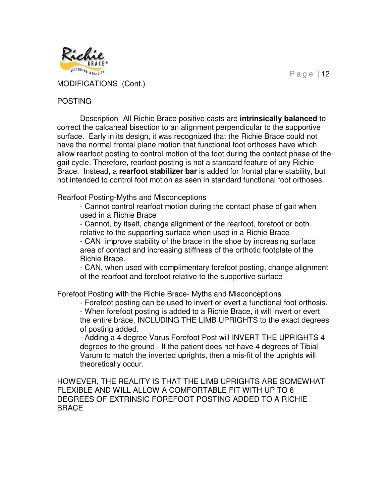

MODIFICATIONS (Cont.)

#### POSTING

 Description- All Richie Brace positive casts are **intrinsically balanced** to correct the calcaneal bisection to an alignment perpendicular to the supportive surface. Early in its design, it was recognized that the Richie Brace could not have the normal frontal plane motion that functional foot orthoses have which allow rearfoot posting to control motion of the foot during the contact phase of the gait cycle. Therefore, rearfoot posting is not a standard feature of any Richie Brace. Instead, a **rearfoot stabilizer bar** is added for frontal plane stability, but not intended to control foot motion as seen in standard functional foot orthoses.

Rearfoot Posting-Myths and Misconceptions

- Cannot control rearfoot motion during the contact phase of gait when used in a Richie Brace

- Cannot, by itself, change alignment of the rearfoot, forefoot or both relative to the supporting surface when used in a Richie Brace - CAN improve stability of the brace in the shoe by increasing surface

area of contact and increasing stiffness of the orthotic footplate of the Richie Brace.

- CAN, when used with complimentary forefoot posting, change alignment of the rearfoot and forefoot relative to the supportive surface

Forefoot Posting with the Richie Brace- Myths and Misconceptions

 - Forefoot posting can be used to invert or evert a functional foot orthosis. - When forefoot posting is added to a Richie Brace, it will invert or evert the entire brace, INCLUDING THE LIMB UPRIGHTS to the exact degrees of posting added.

- Adding a 4 degree Varus Forefoot Post will INVERT THE UPRIGHTS 4 degrees to the ground - If the patient does not have 4 degrees of Tibial Varum to match the inverted uprights, then a mis-fit of the uprights will theoretically occur.

HOWEVER, THE REALITY IS THAT THE LIMB UPRIGHTS ARE SOMEWHAT FLEXIBLE AND WILL ALLOW A COMFORTABLE FIT WITH UP TO 6 DEGREES OF EXTRINSIC FOREFOOT POSTING ADDED TO A RICHIE BRACE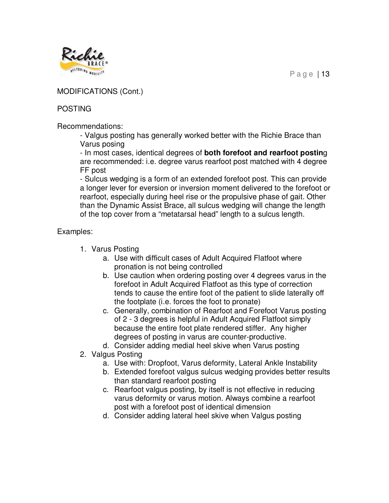

## MODIFICATIONS (Cont.)

## **POSTING**

Recommendations:

- Valgus posting has generally worked better with the Richie Brace than Varus posing

- In most cases, identical degrees of **both forefoot and rearfoot postin**g are recommended: i.e. degree varus rearfoot post matched with 4 degree FF post

- Sulcus wedging is a form of an extended forefoot post. This can provide a longer lever for eversion or inversion moment delivered to the forefoot or rearfoot, especially during heel rise or the propulsive phase of gait. Other than the Dynamic Assist Brace, all sulcus wedging will change the length of the top cover from a "metatarsal head" length to a sulcus length.

# Examples:

- 1. Varus Posting
	- a. Use with difficult cases of Adult Acquired Flatfoot where pronation is not being controlled
	- b. Use caution when ordering posting over 4 degrees varus in the forefoot in Adult Acquired Flatfoot as this type of correction tends to cause the entire foot of the patient to slide laterally off the footplate (i.e. forces the foot to pronate)
	- c. Generally, combination of Rearfoot and Forefoot Varus posting of 2 - 3 degrees is helpful in Adult Acquired Flatfoot simply because the entire foot plate rendered stiffer. Any higher degrees of posting in varus are counter-productive.
	- d. Consider adding medial heel skive when Varus posting
- 2. Valgus Posting
	- a. Use with: Dropfoot, Varus deformity, Lateral Ankle Instability
	- b. Extended forefoot valgus sulcus wedging provides better results than standard rearfoot posting
	- c. Rearfoot valgus posting, by itself is not effective in reducing varus deformity or varus motion. Always combine a rearfoot post with a forefoot post of identical dimension
	- d. Consider adding lateral heel skive when Valgus posting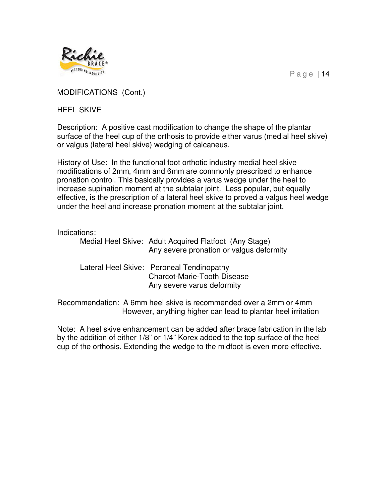

MODIFICATIONS (Cont.)

HEEL SKIVE

Description: A positive cast modification to change the shape of the plantar surface of the heel cup of the orthosis to provide either varus (medial heel skive) or valgus (lateral heel skive) wedging of calcaneus.

History of Use: In the functional foot orthotic industry medial heel skive modifications of 2mm, 4mm and 6mm are commonly prescribed to enhance pronation control. This basically provides a varus wedge under the heel to increase supination moment at the subtalar joint. Less popular, but equally effective, is the prescription of a lateral heel skive to proved a valgus heel wedge under the heel and increase pronation moment at the subtalar joint.

#### Indications:

| Medial Heel Skive: Adult Acquired Flatfoot (Any Stage)<br>Any severe pronation or valgus deformity            |
|---------------------------------------------------------------------------------------------------------------|
| Lateral Heel Skive: Peroneal Tendinopathy<br><b>Charcot-Marie-Tooth Disease</b><br>Any severe varus deformity |
| Recommendation: A 6mm heel skive is recommended over a 2mm or 4mm                                             |

However, anything higher can lead to plantar heel irritation

Note: A heel skive enhancement can be added after brace fabrication in the lab by the addition of either 1/8" or 1/4" Korex added to the top surface of the heel cup of the orthosis. Extending the wedge to the midfoot is even more effective.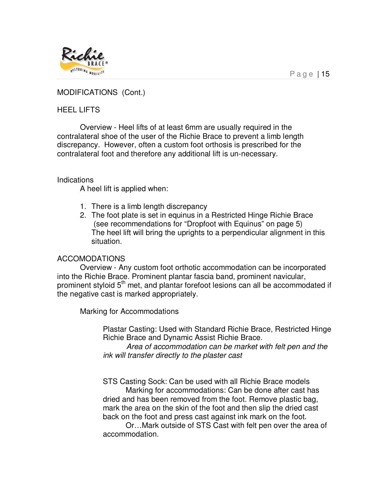

#### MODIFICATIONS (Cont.)

#### HEEL LIFTS

 Overview - Heel lifts of at least 6mm are usually required in the contralateral shoe of the user of the Richie Brace to prevent a limb length discrepancy. However, often a custom foot orthosis is prescribed for the contralateral foot and therefore any additional lift is un-necessary.

#### Indications

A heel lift is applied when:

- 1. There is a limb length discrepancy
- 2. The foot plate is set in equinus in a Restricted Hinge Richie Brace (see recommendations for "Dropfoot with Equinus" on page 5) The heel lift will bring the uprights to a perpendicular alignment in this situation.

#### ACCOMODATIONS

 Overview - Any custom foot orthotic accommodation can be incorporated into the Richie Brace. Prominent plantar fascia band, prominent navicular, prominent styloid 5<sup>th</sup> met, and plantar forefoot lesions can all be accommodated if the negative cast is marked appropriately.

Marking for Accommodations

Plastar Casting: Used with Standard Richie Brace, Restricted Hinge Richie Brace and Dynamic Assist Richie Brace.

 Area of accommodation can be market with felt pen and the ink will transfer directly to the plaster cast

STS Casting Sock: Can be used with all Richie Brace models Marking for accommodations: Can be done after cast has dried and has been removed from the foot. Remove plastic bag, mark the area on the skin of the foot and then slip the dried cast back on the foot and press cast against ink mark on the foot.

 Or…Mark outside of STS Cast with felt pen over the area of accommodation.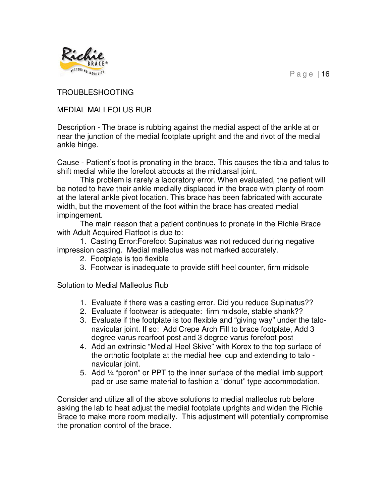

TROUBLESHOOTING

MEDIAL MALLEOLUS RUB

Description - The brace is rubbing against the medial aspect of the ankle at or near the junction of the medial footplate upright and the and rivot of the medial ankle hinge.

Cause - Patient's foot is pronating in the brace. This causes the tibia and talus to shift medial while the forefoot abducts at the midtarsal joint.

 This problem is rarely a laboratory error. When evaluated, the patient will be noted to have their ankle medially displaced in the brace with plenty of room at the lateral ankle pivot location. This brace has been fabricated with accurate width, but the movement of the foot within the brace has created medial impingement.

 The main reason that a patient continues to pronate in the Richie Brace with Adult Acquired Flatfoot is due to:

 1. Casting Error:Forefoot Supinatus was not reduced during negative impression casting. Medial malleolus was not marked accurately.

- 2. Footplate is too flexible
- 3. Footwear is inadequate to provide stiff heel counter, firm midsole

Solution to Medial Malleolus Rub

- 1. Evaluate if there was a casting error. Did you reduce Supinatus??
- 2. Evaluate if footwear is adequate: firm midsole, stable shank??
- 3. Evaluate if the footplate is too flexible and "giving way" under the talonavicular joint. If so: Add Crepe Arch Fill to brace footplate, Add 3 degree varus rearfoot post and 3 degree varus forefoot post
- 4. Add an extrinsic "Medial Heel Skive" with Korex to the top surface of the orthotic footplate at the medial heel cup and extending to talo navicular joint.
- 5. Add ¼ "poron" or PPT to the inner surface of the medial limb support pad or use same material to fashion a "donut" type accommodation.

Consider and utilize all of the above solutions to medial malleolus rub before asking the lab to heat adjust the medial footplate uprights and widen the Richie Brace to make more room medially. This adjustment will potentially compromise the pronation control of the brace.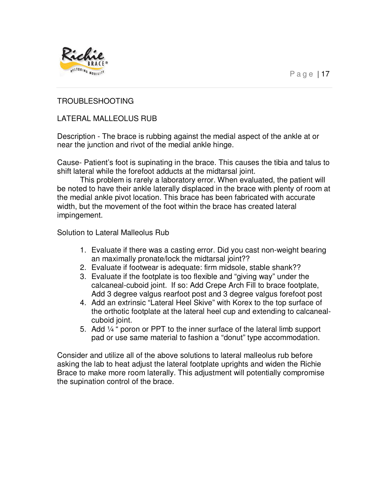

#### TROUBLESHOOTING

#### LATERAL MALLEOLUS RUB

Description - The brace is rubbing against the medial aspect of the ankle at or near the junction and rivot of the medial ankle hinge.

Cause- Patient's foot is supinating in the brace. This causes the tibia and talus to shift lateral while the forefoot adducts at the midtarsal joint.

 This problem is rarely a laboratory error. When evaluated, the patient will be noted to have their ankle laterally displaced in the brace with plenty of room at the medial ankle pivot location. This brace has been fabricated with accurate width, but the movement of the foot within the brace has created lateral impingement.

Solution to Lateral Malleolus Rub

- 1. Evaluate if there was a casting error. Did you cast non-weight bearing an maximally pronate/lock the midtarsal joint??
- 2. Evaluate if footwear is adequate: firm midsole, stable shank??
- 3. Evaluate if the footplate is too flexible and "giving way" under the calcaneal-cuboid joint. If so: Add Crepe Arch Fill to brace footplate, Add 3 degree valgus rearfoot post and 3 degree valgus forefoot post
- 4. Add an extrinsic "Lateral Heel Skive" with Korex to the top surface of the orthotic footplate at the lateral heel cup and extending to calcanealcuboid joint.
- 5. Add  $\frac{1}{4}$  " poron or PPT to the inner surface of the lateral limb support pad or use same material to fashion a "donut" type accommodation.

Consider and utilize all of the above solutions to lateral malleolus rub before asking the lab to heat adjust the lateral footplate uprights and widen the Richie Brace to make more room laterally. This adjustment will potentially compromise the supination control of the brace.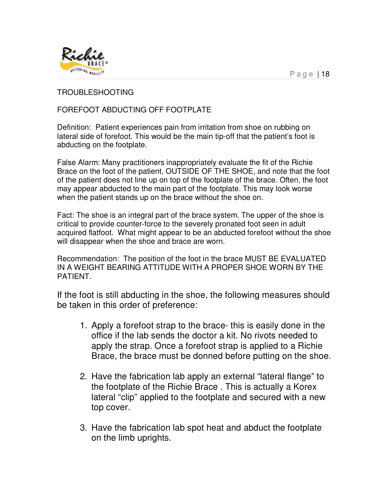

#### TROUBLESHOOTING

## FOREFOOT ABDUCTING OFF FOOTPLATE

Definition: Patient experiences pain from irritation from shoe on rubbing on lateral side of forefoot. This would be the main tip-off that the patient's foot is abducting on the footplate.

False Alarm: Many practitioners inappropriately evaluate the fit of the Richie Brace on the foot of the patient, OUTSIDE OF THE SHOE, and note that the foot of the patient does not line up on top of the footplate of the brace. Often, the foot may appear abducted to the main part of the footplate. This may look worse when the patient stands up on the brace without the shoe on.

Fact: The shoe is an integral part of the brace system. The upper of the shoe is critical to provide counter-force to the severely pronated foot seen in adult acquired flatfoot. What might appear to be an abducted forefoot without the shoe will disappear when the shoe and brace are worn.

Recommendation: The position of the foot in the brace MUST BE EVALUATED IN A WEIGHT BEARING ATTITUDE WITH A PROPER SHOE WORN BY THE PATIENT.

If the foot is still abducting in the shoe, the following measures should be taken in this order of preference:

- 1. Apply a forefoot strap to the brace- this is easily done in the office if the lab sends the doctor a kit. No rivots needed to apply the strap. Once a forefoot strap is applied to a Richie Brace, the brace must be donned before putting on the shoe.
- 2. Have the fabrication lab apply an external "lateral flange" to the footplate of the Richie Brace . This is actually a Korex lateral "clip" applied to the footplate and secured with a new top cover.
- 3. Have the fabrication lab spot heat and abduct the footplate on the limb uprights.